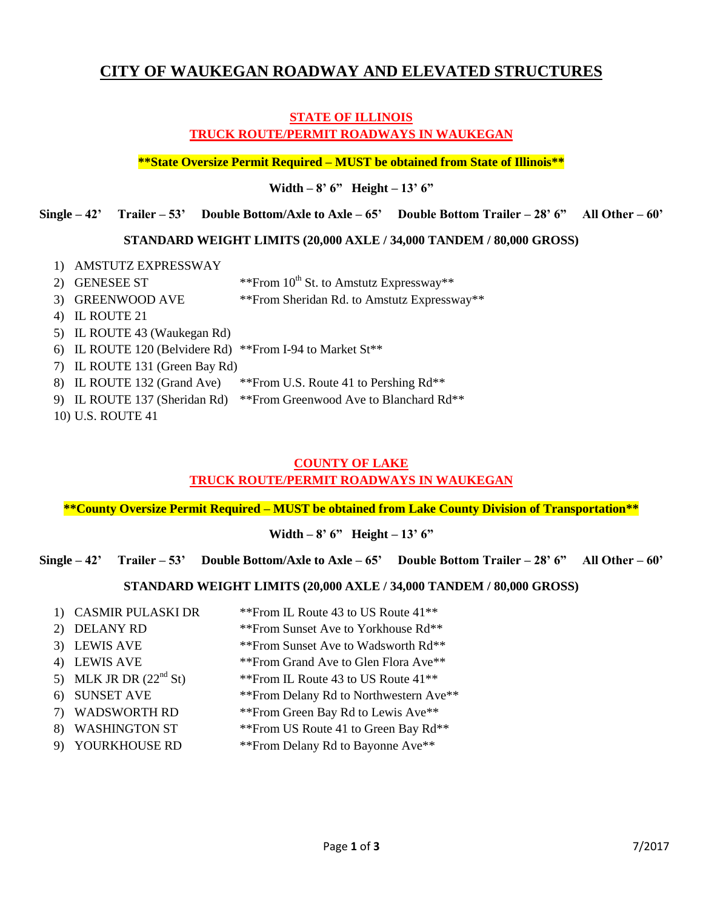# **CITY OF WAUKEGAN ROADWAY AND ELEVATED STRUCTURES**

# **STATE OF ILLINOIS TRUCK ROUTE/PERMIT ROADWAYS IN WAUKEGAN**

**\*\*State Oversize Permit Required – MUST be obtained from State of Illinois\*\***

**Width – 8' 6" Height – 13' 6"**

**Single – 42' Trailer – 53' Double Bottom/Axle to Axle – 65' Double Bottom Trailer – 28' 6" All Other – 60'**

#### **STANDARD WEIGHT LIMITS (20,000 AXLE / 34,000 TANDEM / 80,000 GROSS)**

- 1) AMSTUTZ EXPRESSWAY
- 2) GENESEE ST  $**$ From  $10^{th}$  St. to Amstutz Expressway\*\*
- 3) GREENWOOD AVE \*\*\*From Sheridan Rd. to Amstutz Expressway\*\*
- 4) IL ROUTE 21
- 5) IL ROUTE 43 (Waukegan Rd)
- 6) IL ROUTE 120 (Belvidere Rd) \*\*From I-94 to Market St\*\*
- 7) IL ROUTE 131 (Green Bay Rd)
- 8) IL ROUTE 132 (Grand Ave) \*\*From U.S. Route 41 to Pershing Rd\*\*
- 9) IL ROUTE 137 (Sheridan Rd) \*\*From Greenwood Ave to Blanchard Rd\*\*
- 10) U.S. ROUTE 41

# **COUNTY OF LAKE**

# **TRUCK ROUTE/PERMIT ROADWAYS IN WAUKEGAN**

**\*\*County Oversize Permit Required – MUST be obtained from Lake County Division of Transportation\*\***

**Width – 8' 6" Height – 13' 6"**

**Single – 42' Trailer – 53' Double Bottom/Axle to Axle – 65' Double Bottom Trailer – 28' 6" All Other – 60'**

# **STANDARD WEIGHT LIMITS (20,000 AXLE / 34,000 TANDEM / 80,000 GROSS)**

- 1) CASMIR PULASKI DR \*\*From IL Route 43 to US Route 41\*\*
- 2) DELANY RD \*\*\*From Sunset Ave to Yorkhouse Rd\*\*
- 3) LEWIS AVE \*\*\*From Sunset Ave to Wadsworth Rd\*\*
- 4) LEWIS AVE \*\*\*From Grand Ave to Glen Flora Ave\*\*
- 5) MLK JR DR  $(22^{nd} \text{ St})$  \*\*From IL Route 43 to US Route 41\*\*
- 6) SUNSET AVE \*\*From Delany Rd to Northwestern Ave\*\*
- 7) WADSWORTH RD \*\*From Green Bay Rd to Lewis Ave\*\*
- 8) WASHINGTON ST \*\*\*From US Route 41 to Green Bay Rd\*\*
- 9) YOURKHOUSE RD \*\*From Delany Rd to Bayonne Ave\*\*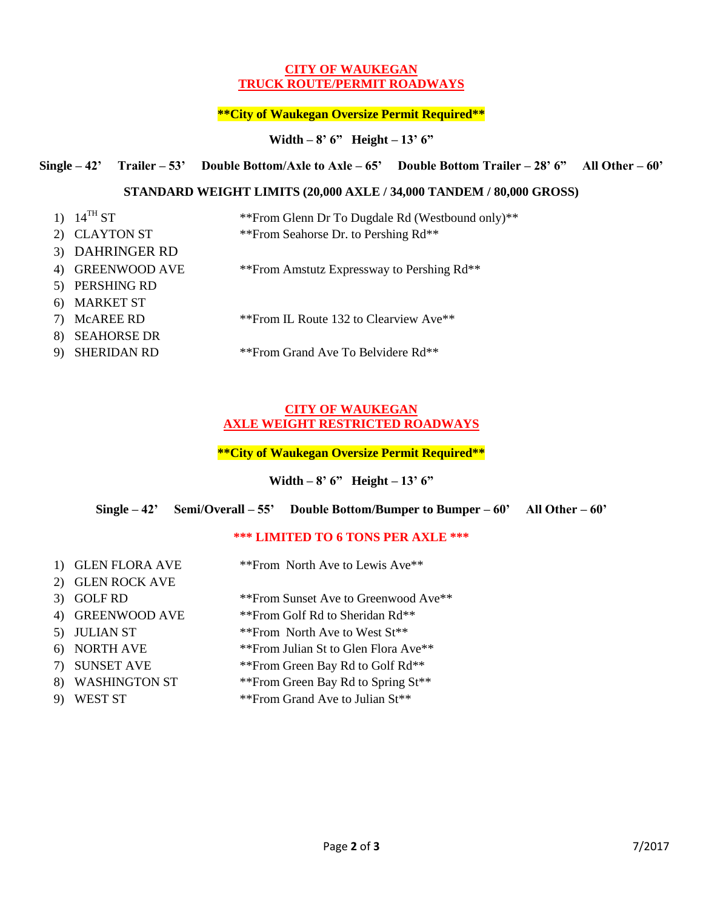#### **CITY OF WAUKEGAN TRUCK ROUTE/PERMIT ROADWAYS**

# **\*\*City of Waukegan Oversize Permit Required\*\***

# **Width – 8' 6" Height – 13' 6"**

#### **Single – 42' Trailer – 53' Double Bottom/Axle to Axle – 65' Double Bottom Trailer – 28' 6" All Other – 60'**

#### **STANDARD WEIGHT LIMITS (20,000 AXLE / 34,000 TANDEM / 80,000 GROSS)**

|    | 1) $14^{TH}ST$     | ** From Glenn Dr To Dugdale Rd (Westbound only) ** |
|----|--------------------|----------------------------------------------------|
|    | 2) CLAYTON ST      | ** From Seahorse Dr. to Pershing Rd**              |
|    | 3) DAHRINGER RD    |                                                    |
|    | 4) GREENWOOD AVE   | ** From Amstutz Expressway to Pershing Rd**        |
| 5) | PERSHING RD        |                                                    |
|    | 6) MARKET ST       |                                                    |
| 7) | McAREE RD          | ** From IL Route 132 to Clearview Ave**            |
| 8) | <b>SEAHORSE DR</b> |                                                    |
|    | <b>SHERIDAN RD</b> | **From Grand Ave To Belvidere Rd**                 |

#### **CITY OF WAUKEGAN AXLE WEIGHT RESTRICTED ROADWAYS**

#### **\*\*City of Waukegan Oversize Permit Required\*\***

#### **Width – 8' 6" Height – 13' 6"**

#### **Single – 42' Semi/Overall – 55' Double Bottom/Bumper to Bumper – 60' All Other – 60'**

# **\*\*\* LIMITED TO 6 TONS PER AXLE \*\*\***

| 1) GLEN FLORA AVE | ** From North Ave to Lewis Ave**      |
|-------------------|---------------------------------------|
| 2) GLEN ROCK AVE  |                                       |
| 3) GOLF RD        | ** From Sunset Ave to Greenwood Ave** |
| 4) GREENWOOD AVE  | **From Golf Rd to Sheridan Rd**       |
| 5) JULIAN ST      | ** From North Ave to West St**        |
| 6) NORTH AVE      | ** From Julian St to Glen Flora Ave** |
| 7) SUNSET AVE     | ** From Green Bay Rd to Golf Rd**     |
| 8) WASHINGTON ST  | ** From Green Bay Rd to Spring St**   |

9) WEST ST \*\*\*From Grand Ave to Julian St\*\*